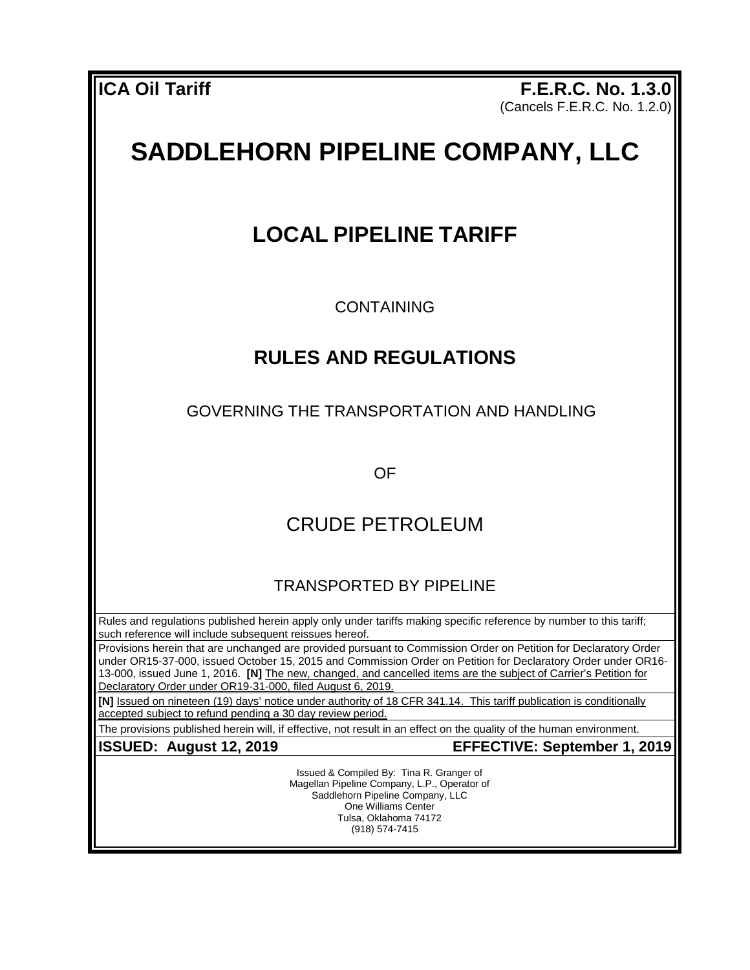**ICA Oil Tariff F.E.R.C. No. 1.3.0** (Cancels F.E.R.C. No. 1.2.0)

# **SADDLEHORN PIPELINE COMPANY, LLC**

## **LOCAL PIPELINE TARIFF**

**CONTAINING** 

### **RULES AND REGULATIONS**

GOVERNING THE TRANSPORTATION AND HANDLING

OF

### CRUDE PETROLEUM

TRANSPORTED BY PIPELINE

Rules and regulations published herein apply only under tariffs making specific reference by number to this tariff; such reference will include subsequent reissues hereof.

Provisions herein that are unchanged are provided pursuant to Commission Order on Petition for Declaratory Order under OR15-37-000, issued October 15, 2015 and Commission Order on Petition for Declaratory Order under OR16- 13-000, issued June 1, 2016. **[N]** The new, changed, and cancelled items are the subject of Carrier's Petition for Declaratory Order under OR19-31-000, filed August 6, 2019.

**[N]** Issued on nineteen (19) days' notice under authority of 18 CFR 341.14. This tariff publication is conditionally accepted subject to refund pending a 30 day review period.

The provisions published herein will, if effective, not result in an effect on the quality of the human environment.

**ISSUED: August 12, 2019 EFFECTIVE: September 1, 2019**

Issued & Compiled By: Tina R. Granger of Magellan Pipeline Company, L.P., Operator of Saddlehorn Pipeline Company, LLC One Williams Center Tulsa, Oklahoma 74172 (918) 574-7415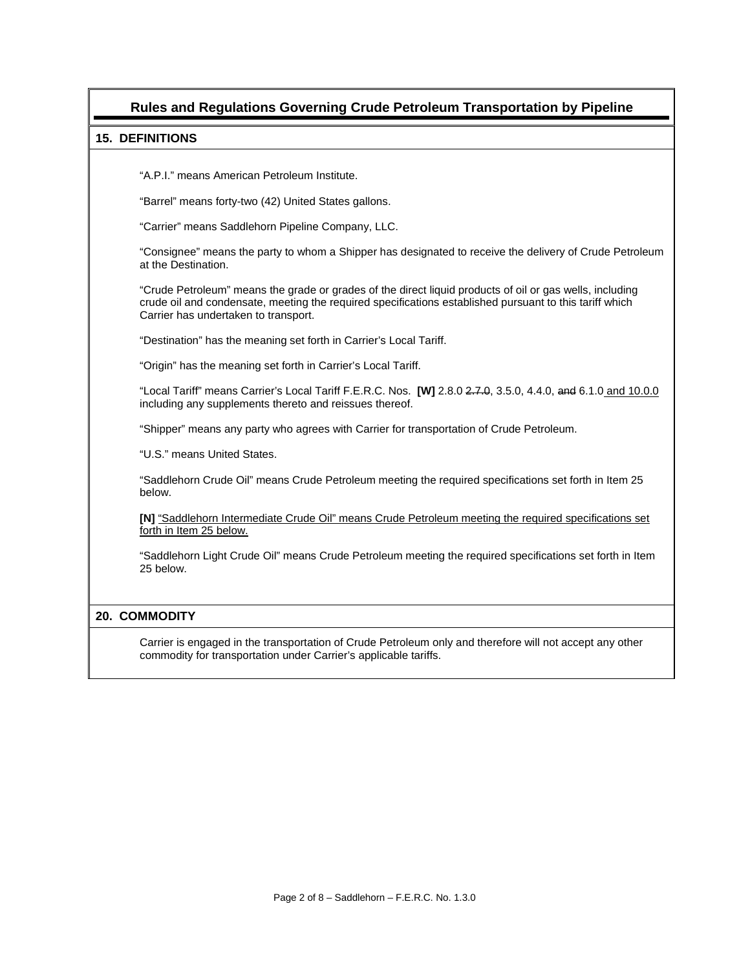### **Rules and Regulations Governing Crude Petroleum Transportation by Pipeline**

#### **15. DEFINITIONS**

"A.P.I." means American Petroleum Institute.

"Barrel" means forty-two (42) United States gallons.

"Carrier" means Saddlehorn Pipeline Company, LLC.

"Consignee" means the party to whom a Shipper has designated to receive the delivery of Crude Petroleum at the Destination.

"Crude Petroleum" means the grade or grades of the direct liquid products of oil or gas wells, including crude oil and condensate, meeting the required specifications established pursuant to this tariff which Carrier has undertaken to transport.

"Destination" has the meaning set forth in Carrier's Local Tariff.

"Origin" has the meaning set forth in Carrier's Local Tariff.

"Local Tariff" means Carrier's Local Tariff F.E.R.C. Nos. **[W]** 2.8.0 2.7.0, 3.5.0, 4.4.0, and 6.1.0 and 10.0.0 including any supplements thereto and reissues thereof.

"Shipper" means any party who agrees with Carrier for transportation of Crude Petroleum.

"U.S." means United States.

"Saddlehorn Crude Oil" means Crude Petroleum meeting the required specifications set forth in Item 25 below.

**[N]** "Saddlehorn Intermediate Crude Oil" means Crude Petroleum meeting the required specifications set forth in Item 25 below.

"Saddlehorn Light Crude Oil" means Crude Petroleum meeting the required specifications set forth in Item 25 below.

#### **20. COMMODITY**

Carrier is engaged in the transportation of Crude Petroleum only and therefore will not accept any other commodity for transportation under Carrier's applicable tariffs.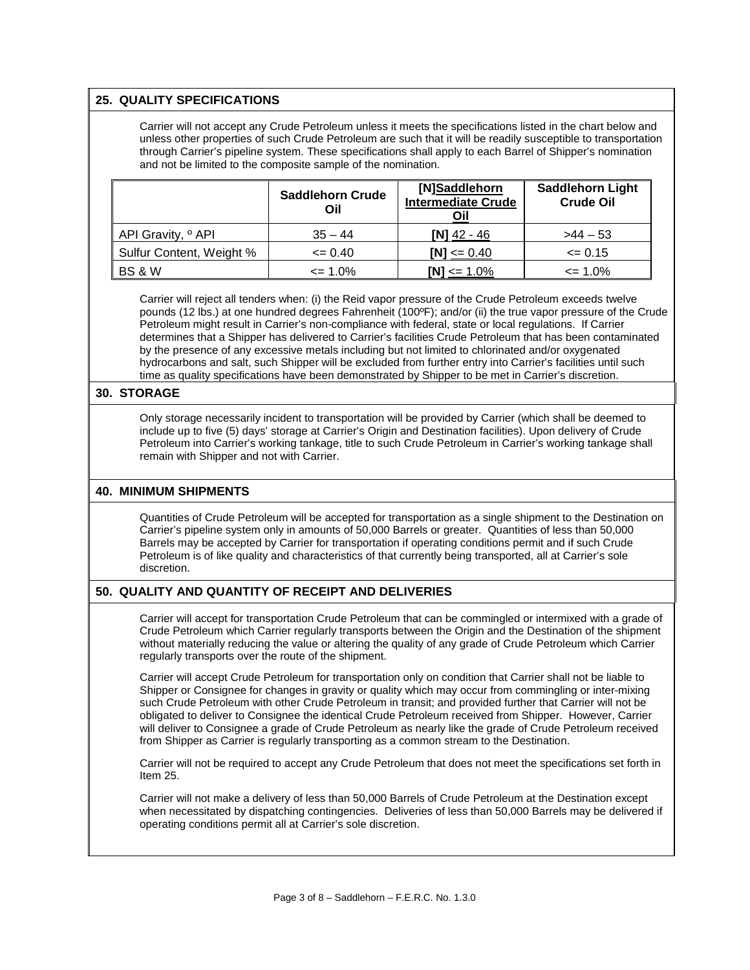#### **25. QUALITY SPECIFICATIONS**

Carrier will not accept any Crude Petroleum unless it meets the specifications listed in the chart below and unless other properties of such Crude Petroleum are such that it will be readily susceptible to transportation through Carrier's pipeline system. These specifications shall apply to each Barrel of Shipper's nomination and not be limited to the composite sample of the nomination.

|                               | <b>Saddlehorn Crude</b><br>Oil | [N]Saddlehorn<br><b>Intermediate Crude</b><br>Oil | <b>Saddlehorn Light</b><br><b>Crude Oil</b> |
|-------------------------------|--------------------------------|---------------------------------------------------|---------------------------------------------|
| API Gravity, <sup>o</sup> API | $35 - 44$                      | INI 42 - 46                                       | $>44-53$                                    |
| Sulfur Content, Weight %      | $\leq 0.40$                    | $INI \le 0.40$                                    | $\leq 0.15$                                 |
| <b>BS &amp; W</b>             | $\epsilon$ = 1.0%              | $[N] \le 1.0\%$                                   | $\leq$ 1.0%                                 |

Carrier will reject all tenders when: (i) the Reid vapor pressure of the Crude Petroleum exceeds twelve pounds (12 lbs.) at one hundred degrees Fahrenheit (100ºF); and/or (ii) the true vapor pressure of the Crude Petroleum might result in Carrier's non-compliance with federal, state or local regulations. If Carrier determines that a Shipper has delivered to Carrier's facilities Crude Petroleum that has been contaminated by the presence of any excessive metals including but not limited to chlorinated and/or oxygenated hydrocarbons and salt, such Shipper will be excluded from further entry into Carrier's facilities until such time as quality specifications have been demonstrated by Shipper to be met in Carrier's discretion.

#### **30. STORAGE**

Only storage necessarily incident to transportation will be provided by Carrier (which shall be deemed to include up to five (5) days' storage at Carrier's Origin and Destination facilities). Upon delivery of Crude Petroleum into Carrier's working tankage, title to such Crude Petroleum in Carrier's working tankage shall remain with Shipper and not with Carrier.

#### **40. MINIMUM SHIPMENTS**

Quantities of Crude Petroleum will be accepted for transportation as a single shipment to the Destination on Carrier's pipeline system only in amounts of 50,000 Barrels or greater. Quantities of less than 50,000 Barrels may be accepted by Carrier for transportation if operating conditions permit and if such Crude Petroleum is of like quality and characteristics of that currently being transported, all at Carrier's sole discretion.

#### **50. QUALITY AND QUANTITY OF RECEIPT AND DELIVERIES**

Carrier will accept for transportation Crude Petroleum that can be commingled or intermixed with a grade of Crude Petroleum which Carrier regularly transports between the Origin and the Destination of the shipment without materially reducing the value or altering the quality of any grade of Crude Petroleum which Carrier regularly transports over the route of the shipment.

Carrier will accept Crude Petroleum for transportation only on condition that Carrier shall not be liable to Shipper or Consignee for changes in gravity or quality which may occur from commingling or inter-mixing such Crude Petroleum with other Crude Petroleum in transit; and provided further that Carrier will not be obligated to deliver to Consignee the identical Crude Petroleum received from Shipper. However, Carrier will deliver to Consignee a grade of Crude Petroleum as nearly like the grade of Crude Petroleum received from Shipper as Carrier is regularly transporting as a common stream to the Destination.

Carrier will not be required to accept any Crude Petroleum that does not meet the specifications set forth in Item 25.

Carrier will not make a delivery of less than 50,000 Barrels of Crude Petroleum at the Destination except when necessitated by dispatching contingencies. Deliveries of less than 50,000 Barrels may be delivered if operating conditions permit all at Carrier's sole discretion.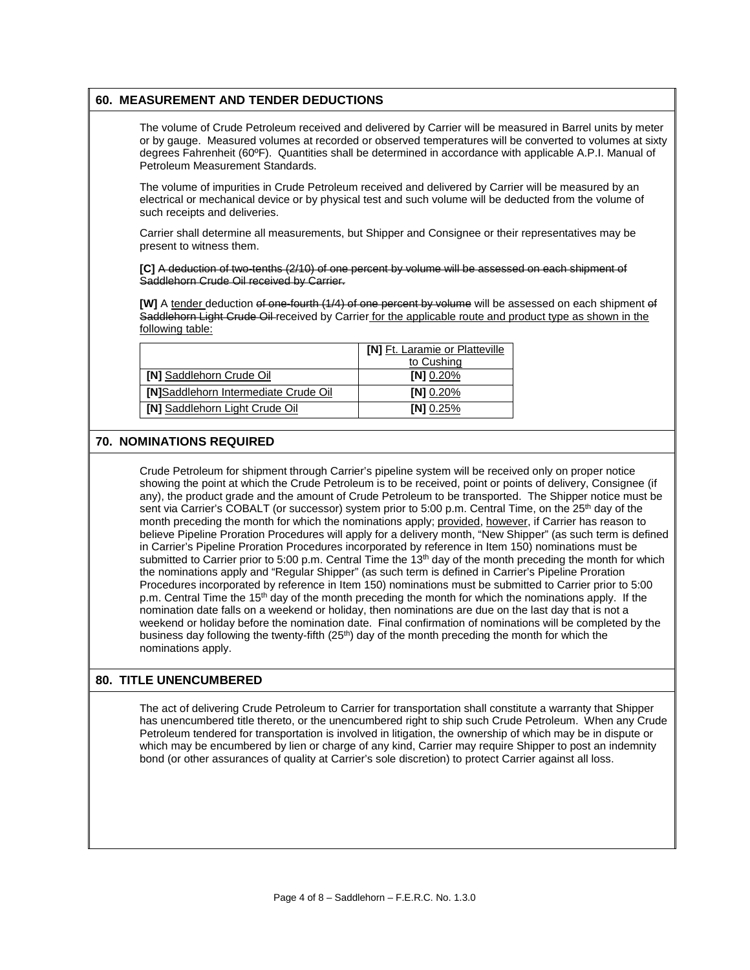#### **60. MEASUREMENT AND TENDER DEDUCTIONS**

The volume of Crude Petroleum received and delivered by Carrier will be measured in Barrel units by meter or by gauge. Measured volumes at recorded or observed temperatures will be converted to volumes at sixty degrees Fahrenheit (60ºF). Quantities shall be determined in accordance with applicable A.P.I. Manual of Petroleum Measurement Standards.

The volume of impurities in Crude Petroleum received and delivered by Carrier will be measured by an electrical or mechanical device or by physical test and such volume will be deducted from the volume of such receipts and deliveries.

Carrier shall determine all measurements, but Shipper and Consignee or their representatives may be present to witness them.

**[C]** A deduction of two-tenths (2/10) of one percent by volume will be assessed on each shipment of Saddlehorn Crude Oil received by Carrier.

**[W]** A tender deduction of one-fourth (1/4) of one percent by volume will be assessed on each shipment of Saddlehorn Light Crude Oil received by Carrier for the applicable route and product type as shown in the following table:

|                                      | <b>[N]</b> Ft. Laramie or Platteville |  |
|--------------------------------------|---------------------------------------|--|
|                                      | to Cushing                            |  |
| <b>[N] Saddlehorn Crude Oil</b>      | [N] 0.20%                             |  |
| [N]Saddlehorn Intermediate Crude Oil | [N] 0.20%                             |  |
| [N] Saddlehorn Light Crude Oil       | IN1 0.25%                             |  |

#### **70. NOMINATIONS REQUIRED**

Crude Petroleum for shipment through Carrier's pipeline system will be received only on proper notice showing the point at which the Crude Petroleum is to be received, point or points of delivery, Consignee (if any), the product grade and the amount of Crude Petroleum to be transported. The Shipper notice must be sent via Carrier's COBALT (or successor) system prior to 5:00 p.m. Central Time, on the 25<sup>th</sup> day of the month preceding the month for which the nominations apply; provided, however, if Carrier has reason to believe Pipeline Proration Procedures will apply for a delivery month, "New Shipper" (as such term is defined in Carrier's Pipeline Proration Procedures incorporated by reference in Item 150) nominations must be submitted to Carrier prior to 5:00 p.m. Central Time the  $13<sup>th</sup>$  day of the month preceding the month for which the nominations apply and "Regular Shipper" (as such term is defined in Carrier's Pipeline Proration Procedures incorporated by reference in Item 150) nominations must be submitted to Carrier prior to 5:00 p.m. Central Time the 15<sup>th</sup> day of the month preceding the month for which the nominations apply. If the nomination date falls on a weekend or holiday, then nominations are due on the last day that is not a weekend or holiday before the nomination date. Final confirmation of nominations will be completed by the business day following the twenty-fifth  $(25<sup>th</sup>)$  day of the month preceding the month for which the nominations apply.

#### **80. TITLE UNENCUMBERED**

The act of delivering Crude Petroleum to Carrier for transportation shall constitute a warranty that Shipper has unencumbered title thereto, or the unencumbered right to ship such Crude Petroleum. When any Crude Petroleum tendered for transportation is involved in litigation, the ownership of which may be in dispute or which may be encumbered by lien or charge of any kind, Carrier may require Shipper to post an indemnity bond (or other assurances of quality at Carrier's sole discretion) to protect Carrier against all loss.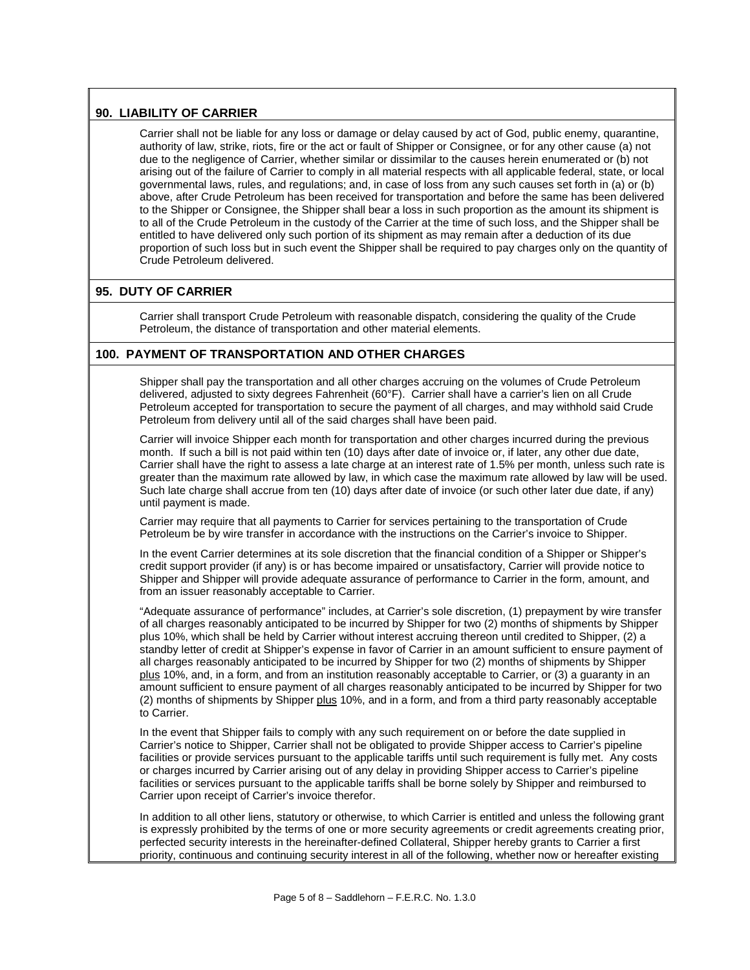#### **90. LIABILITY OF CARRIER**

Carrier shall not be liable for any loss or damage or delay caused by act of God, public enemy, quarantine, authority of law, strike, riots, fire or the act or fault of Shipper or Consignee, or for any other cause (a) not due to the negligence of Carrier, whether similar or dissimilar to the causes herein enumerated or (b) not arising out of the failure of Carrier to comply in all material respects with all applicable federal, state, or local governmental laws, rules, and regulations; and, in case of loss from any such causes set forth in (a) or (b) above, after Crude Petroleum has been received for transportation and before the same has been delivered to the Shipper or Consignee, the Shipper shall bear a loss in such proportion as the amount its shipment is to all of the Crude Petroleum in the custody of the Carrier at the time of such loss, and the Shipper shall be entitled to have delivered only such portion of its shipment as may remain after a deduction of its due proportion of such loss but in such event the Shipper shall be required to pay charges only on the quantity of Crude Petroleum delivered.

#### **95. DUTY OF CARRIER**

Carrier shall transport Crude Petroleum with reasonable dispatch, considering the quality of the Crude Petroleum, the distance of transportation and other material elements.

#### **100. PAYMENT OF TRANSPORTATION AND OTHER CHARGES**

Shipper shall pay the transportation and all other charges accruing on the volumes of Crude Petroleum delivered, adjusted to sixty degrees Fahrenheit (60°F). Carrier shall have a carrier's lien on all Crude Petroleum accepted for transportation to secure the payment of all charges, and may withhold said Crude Petroleum from delivery until all of the said charges shall have been paid.

Carrier will invoice Shipper each month for transportation and other charges incurred during the previous month. If such a bill is not paid within ten (10) days after date of invoice or, if later, any other due date, Carrier shall have the right to assess a late charge at an interest rate of 1.5% per month, unless such rate is greater than the maximum rate allowed by law, in which case the maximum rate allowed by law will be used. Such late charge shall accrue from ten (10) days after date of invoice (or such other later due date, if any) until payment is made.

Carrier may require that all payments to Carrier for services pertaining to the transportation of Crude Petroleum be by wire transfer in accordance with the instructions on the Carrier's invoice to Shipper.

In the event Carrier determines at its sole discretion that the financial condition of a Shipper or Shipper's credit support provider (if any) is or has become impaired or unsatisfactory, Carrier will provide notice to Shipper and Shipper will provide adequate assurance of performance to Carrier in the form, amount, and from an issuer reasonably acceptable to Carrier.

"Adequate assurance of performance" includes, at Carrier's sole discretion, (1) prepayment by wire transfer of all charges reasonably anticipated to be incurred by Shipper for two (2) months of shipments by Shipper plus 10%, which shall be held by Carrier without interest accruing thereon until credited to Shipper, (2) a standby letter of credit at Shipper's expense in favor of Carrier in an amount sufficient to ensure payment of all charges reasonably anticipated to be incurred by Shipper for two (2) months of shipments by Shipper plus 10%, and, in a form, and from an institution reasonably acceptable to Carrier, or (3) a guaranty in an amount sufficient to ensure payment of all charges reasonably anticipated to be incurred by Shipper for two (2) months of shipments by Shipper plus 10%, and in a form, and from a third party reasonably acceptable to Carrier.

In the event that Shipper fails to comply with any such requirement on or before the date supplied in Carrier's notice to Shipper, Carrier shall not be obligated to provide Shipper access to Carrier's pipeline facilities or provide services pursuant to the applicable tariffs until such requirement is fully met. Any costs or charges incurred by Carrier arising out of any delay in providing Shipper access to Carrier's pipeline facilities or services pursuant to the applicable tariffs shall be borne solely by Shipper and reimbursed to Carrier upon receipt of Carrier's invoice therefor.

In addition to all other liens, statutory or otherwise, to which Carrier is entitled and unless the following grant is expressly prohibited by the terms of one or more security agreements or credit agreements creating prior, perfected security interests in the hereinafter-defined Collateral, Shipper hereby grants to Carrier a first priority, continuous and continuing security interest in all of the following, whether now or hereafter existing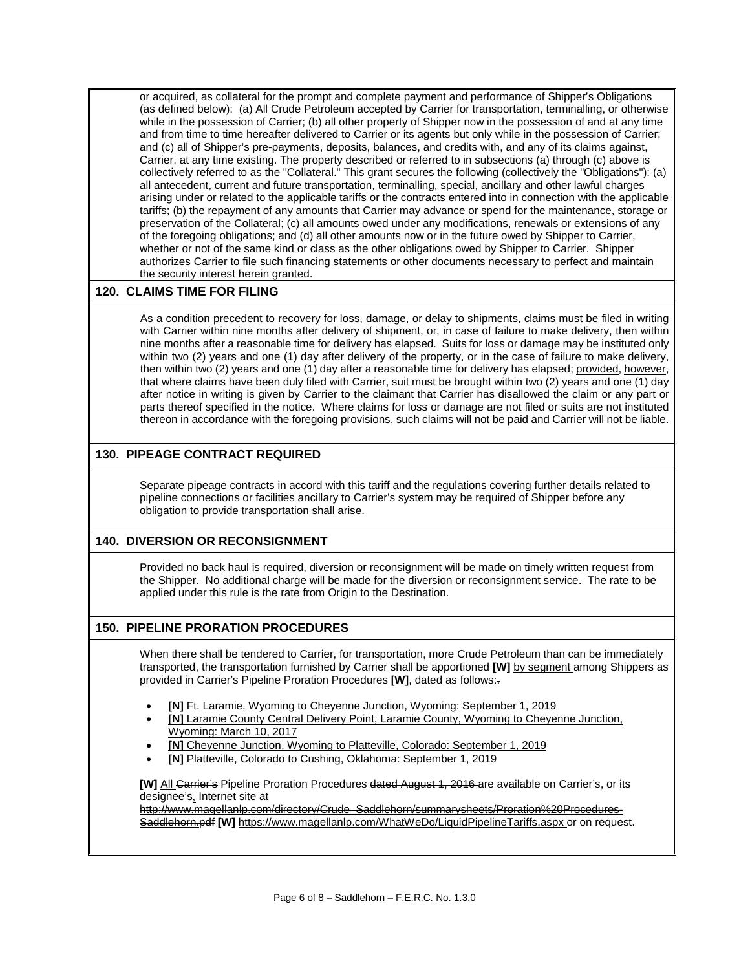or acquired, as collateral for the prompt and complete payment and performance of Shipper's Obligations (as defined below): (a) All Crude Petroleum accepted by Carrier for transportation, terminalling, or otherwise while in the possession of Carrier; (b) all other property of Shipper now in the possession of and at any time and from time to time hereafter delivered to Carrier or its agents but only while in the possession of Carrier; and (c) all of Shipper's pre-payments, deposits, balances, and credits with, and any of its claims against, Carrier, at any time existing. The property described or referred to in subsections (a) through (c) above is collectively referred to as the "Collateral." This grant secures the following (collectively the "Obligations"): (a) all antecedent, current and future transportation, terminalling, special, ancillary and other lawful charges arising under or related to the applicable tariffs or the contracts entered into in connection with the applicable tariffs; (b) the repayment of any amounts that Carrier may advance or spend for the maintenance, storage or preservation of the Collateral; (c) all amounts owed under any modifications, renewals or extensions of any of the foregoing obligations; and (d) all other amounts now or in the future owed by Shipper to Carrier, whether or not of the same kind or class as the other obligations owed by Shipper to Carrier. Shipper authorizes Carrier to file such financing statements or other documents necessary to perfect and maintain the security interest herein granted.

#### **120. CLAIMS TIME FOR FILING**

As a condition precedent to recovery for loss, damage, or delay to shipments, claims must be filed in writing with Carrier within nine months after delivery of shipment, or, in case of failure to make delivery, then within nine months after a reasonable time for delivery has elapsed. Suits for loss or damage may be instituted only within two (2) years and one (1) day after delivery of the property, or in the case of failure to make delivery, then within two (2) years and one (1) day after a reasonable time for delivery has elapsed; provided, however, that where claims have been duly filed with Carrier, suit must be brought within two (2) years and one (1) day after notice in writing is given by Carrier to the claimant that Carrier has disallowed the claim or any part or parts thereof specified in the notice. Where claims for loss or damage are not filed or suits are not instituted thereon in accordance with the foregoing provisions, such claims will not be paid and Carrier will not be liable.

#### **130. PIPEAGE CONTRACT REQUIRED**

Separate pipeage contracts in accord with this tariff and the regulations covering further details related to pipeline connections or facilities ancillary to Carrier's system may be required of Shipper before any obligation to provide transportation shall arise.

#### **140. DIVERSION OR RECONSIGNMENT**

Provided no back haul is required, diversion or reconsignment will be made on timely written request from the Shipper. No additional charge will be made for the diversion or reconsignment service. The rate to be applied under this rule is the rate from Origin to the Destination.

#### **150. PIPELINE PRORATION PROCEDURES**

When there shall be tendered to Carrier, for transportation, more Crude Petroleum than can be immediately transported, the transportation furnished by Carrier shall be apportioned **[W]** by segment among Shippers as provided in Carrier's Pipeline Proration Procedures **[W]**, dated as follows:.

- **[N]** Ft. Laramie, Wyoming to Cheyenne Junction, Wyoming: September 1, 2019
- **[N]** Laramie County Central Delivery Point, Laramie County, Wyoming to Cheyenne Junction, Wyoming: March 10, 2017
- **[N]** Cheyenne Junction, Wyoming to Platteville, Colorado: September 1, 2019
- **[N]** Platteville, Colorado to Cushing, Oklahoma: September 1, 2019

**[W]** All Carrier's Pipeline Proration Procedures dated August 1, 2016 are available on Carrier's, or its designee's, Internet site at

[http://www.magellanlp.com/directory/Crude\\_Saddlehorn/summarysheets/Proration%20Procedures-](http://www.magellanlp.com/directory/Crude_Saddlehorn/summarysheets/Proration%20Procedures-Saddlehorn.pdf)[Saddlehorn.pdf](http://www.magellanlp.com/directory/Crude_Saddlehorn/summarysheets/Proration%20Procedures-Saddlehorn.pdf) **[W]** <https://www.magellanlp.com/WhatWeDo/LiquidPipelineTariffs.aspx> or on request.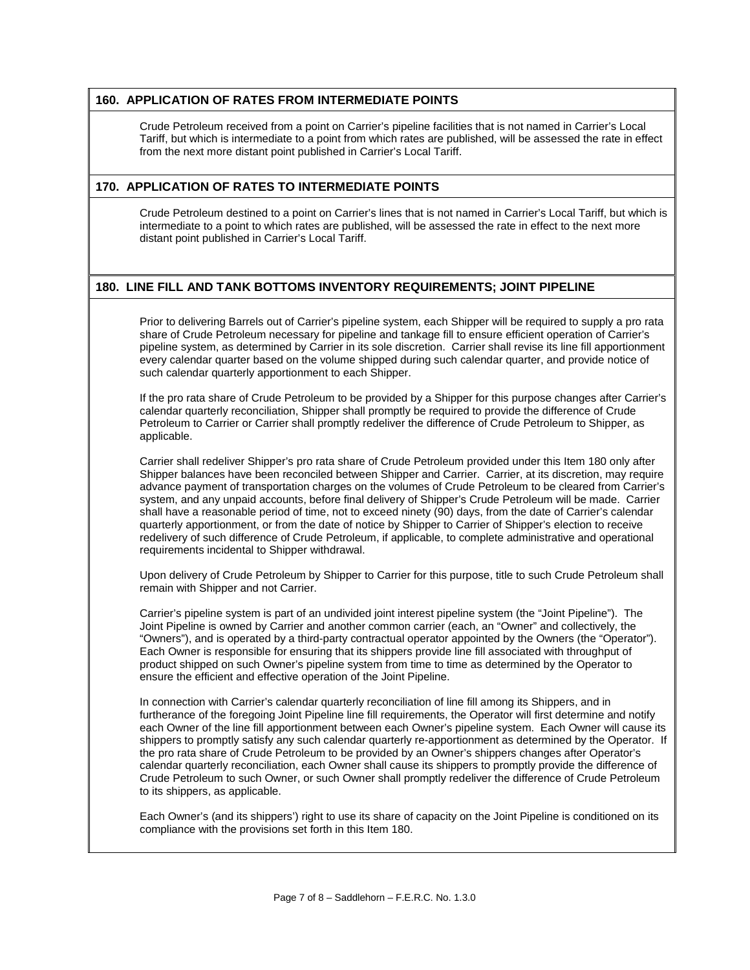#### **160. APPLICATION OF RATES FROM INTERMEDIATE POINTS**

Crude Petroleum received from a point on Carrier's pipeline facilities that is not named in Carrier's Local Tariff, but which is intermediate to a point from which rates are published, will be assessed the rate in effect from the next more distant point published in Carrier's Local Tariff.

#### **170. APPLICATION OF RATES TO INTERMEDIATE POINTS**

Crude Petroleum destined to a point on Carrier's lines that is not named in Carrier's Local Tariff, but which is intermediate to a point to which rates are published, will be assessed the rate in effect to the next more distant point published in Carrier's Local Tariff.

#### **180. LINE FILL AND TANK BOTTOMS INVENTORY REQUIREMENTS; JOINT PIPELINE**

Prior to delivering Barrels out of Carrier's pipeline system, each Shipper will be required to supply a pro rata share of Crude Petroleum necessary for pipeline and tankage fill to ensure efficient operation of Carrier's pipeline system, as determined by Carrier in its sole discretion. Carrier shall revise its line fill apportionment every calendar quarter based on the volume shipped during such calendar quarter, and provide notice of such calendar quarterly apportionment to each Shipper.

If the pro rata share of Crude Petroleum to be provided by a Shipper for this purpose changes after Carrier's calendar quarterly reconciliation, Shipper shall promptly be required to provide the difference of Crude Petroleum to Carrier or Carrier shall promptly redeliver the difference of Crude Petroleum to Shipper, as applicable.

Carrier shall redeliver Shipper's pro rata share of Crude Petroleum provided under this Item 180 only after Shipper balances have been reconciled between Shipper and Carrier. Carrier, at its discretion, may require advance payment of transportation charges on the volumes of Crude Petroleum to be cleared from Carrier's system, and any unpaid accounts, before final delivery of Shipper's Crude Petroleum will be made. Carrier shall have a reasonable period of time, not to exceed ninety (90) days, from the date of Carrier's calendar quarterly apportionment, or from the date of notice by Shipper to Carrier of Shipper's election to receive redelivery of such difference of Crude Petroleum, if applicable, to complete administrative and operational requirements incidental to Shipper withdrawal.

Upon delivery of Crude Petroleum by Shipper to Carrier for this purpose, title to such Crude Petroleum shall remain with Shipper and not Carrier.

Carrier's pipeline system is part of an undivided joint interest pipeline system (the "Joint Pipeline"). The Joint Pipeline is owned by Carrier and another common carrier (each, an "Owner" and collectively, the "Owners"), and is operated by a third-party contractual operator appointed by the Owners (the "Operator"). Each Owner is responsible for ensuring that its shippers provide line fill associated with throughput of product shipped on such Owner's pipeline system from time to time as determined by the Operator to ensure the efficient and effective operation of the Joint Pipeline.

In connection with Carrier's calendar quarterly reconciliation of line fill among its Shippers, and in furtherance of the foregoing Joint Pipeline line fill requirements, the Operator will first determine and notify each Owner of the line fill apportionment between each Owner's pipeline system. Each Owner will cause its shippers to promptly satisfy any such calendar quarterly re-apportionment as determined by the Operator. If the pro rata share of Crude Petroleum to be provided by an Owner's shippers changes after Operator's calendar quarterly reconciliation, each Owner shall cause its shippers to promptly provide the difference of Crude Petroleum to such Owner, or such Owner shall promptly redeliver the difference of Crude Petroleum to its shippers, as applicable.

Each Owner's (and its shippers') right to use its share of capacity on the Joint Pipeline is conditioned on its compliance with the provisions set forth in this Item 180.